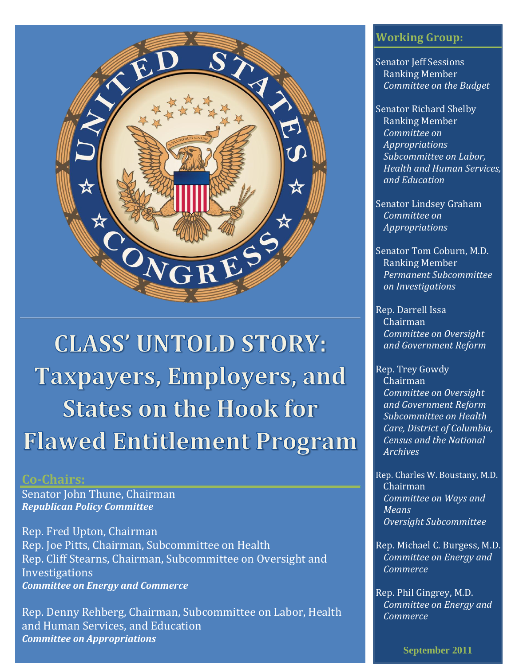

**CLASS' UNTOLD STORY: Taxpayers, Employers, and States on the Hook for Flawed Entitlement Program** 

### **Co-Chairs:**

Senator John Thune, Chairman *Republican Policy Committee*

Rep. Fred Upton, Chairman Rep. Joe Pitts, Chairman, Subcommittee on Health Rep. Cliff Stearns, Chairman, Subcommittee on Oversight and **Investigations** *Committee on Energy and Commerce*

Rep. Denny Rehberg, Chairman, Subcommittee on Labor, Health and Human Services, and Education *Committee on Appropriations*

### **Working Group:**

Senator Jeff Sessions Ranking Member *Committee on the Budget*

Senator Richard Shelby Ranking Member *Committee on Appropriations Subcommittee on Labor, Health and Human Services, and Education*

Senator Lindsey Graham *Committee on Appropriations*

Senator Tom Coburn, M.D. Ranking Member *Permanent Subcommittee on Investigations*

Rep. Darrell Issa Chairman *Committee on Oversight and Government Reform*

Rep. Trey Gowdy Chairman *Committee on Oversight and Government Reform Subcommittee on Health Care, District of Columbia, Census and the National Archives*

Rep. Charles W. Boustany, M.D. Chairman *Committee on Ways and Means Oversight Subcommittee*

Rep. Michael C. Burgess, M.D. *Committee on Energy and Commerce*

Rep. Phil Gingrey, M.D. *Committee on Energy and Commerce*

**September 2011**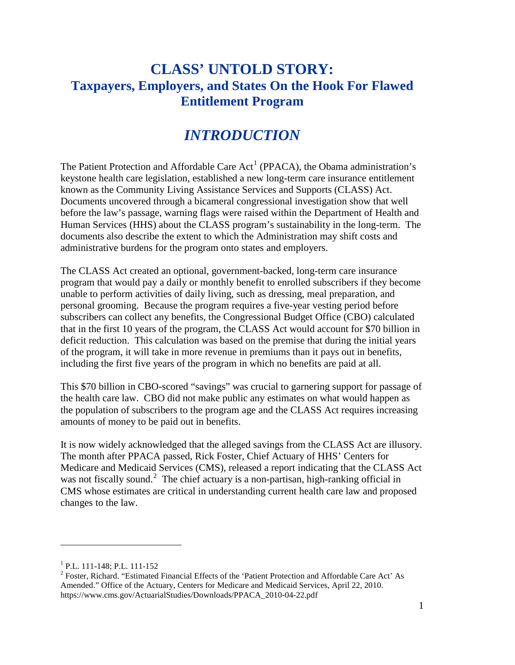## **CLASS' UNTOLD STORY: Taxpayers, Employers, and States On the Hook For Flawed Entitlement Program**

# *INTRODUCTION*

The Patient Protection and Affordable Care  $Act^1$  $Act^1$  (PPACA), the Obama administration's keystone health care legislation, established a new long-term care insurance entitlement known as the Community Living Assistance Services and Supports (CLASS) Act. Documents uncovered through a bicameral congressional investigation show that well before the law's passage, warning flags were raised within the Department of Health and Human Services (HHS) about the CLASS program's sustainability in the long-term. The documents also describe the extent to which the Administration may shift costs and administrative burdens for the program onto states and employers.

The CLASS Act created an optional, government-backed, long-term care insurance program that would pay a daily or monthly benefit to enrolled subscribers if they become unable to perform activities of daily living, such as dressing, meal preparation, and personal grooming. Because the program requires a five-year vesting period before subscribers can collect any benefits, the Congressional Budget Office (CBO) calculated that in the first 10 years of the program, the CLASS Act would account for \$70 billion in deficit reduction. This calculation was based on the premise that during the initial years of the program, it will take in more revenue in premiums than it pays out in benefits, including the first five years of the program in which no benefits are paid at all.

This \$70 billion in CBO-scored "savings" was crucial to garnering support for passage of the health care law. CBO did not make public any estimates on what would happen as the population of subscribers to the program age and the CLASS Act requires increasing amounts of money to be paid out in benefits.

It is now widely acknowledged that the alleged savings from the CLASS Act are illusory. The month after PPACA passed, Rick Foster, Chief Actuary of HHS' Centers for Medicare and Medicaid Services (CMS), released a report indicating that the CLASS Act was not fiscally sound.<sup>[2](#page-2-1)</sup> The chief actuary is a non-partisan, high-ranking official in CMS whose estimates are critical in understanding current health care law and proposed changes to the law.

<span id="page-2-1"></span><span id="page-2-0"></span><sup>&</sup>lt;sup>1</sup> P.L. 111-148; P.L. 111-152<br><sup>2</sup> Foster, Richard. "Estimated Financial Effects of the 'Patient Protection and Affordable Care Act' As Amended." Office of the Actuary, Centers for Medicare and Medicaid Services, April 22, 2010. https://www.cms.gov/ActuarialStudies/Downloads/PPACA\_2010-04-22.pdf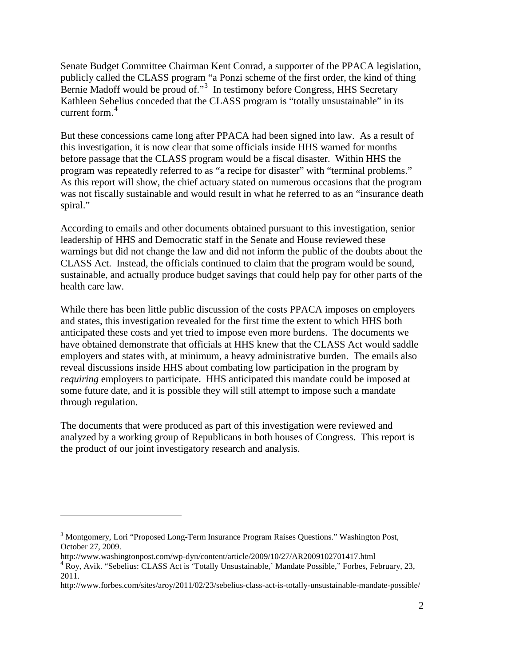Senate Budget Committee Chairman Kent Conrad, a supporter of the PPACA legislation, publicly called the CLASS program "a Ponzi scheme of the first order, the kind of thing Bernie Madoff would be proud of."<sup>[3](#page-3-0)</sup> In testimony before Congress, HHS Secretary Kathleen Sebelius conceded that the CLASS program is "totally unsustainable" in its current form.<sup>[4](#page-3-1)</sup>

But these concessions came long after PPACA had been signed into law. As a result of this investigation, it is now clear that some officials inside HHS warned for months before passage that the CLASS program would be a fiscal disaster. Within HHS the program was repeatedly referred to as "a recipe for disaster" with "terminal problems." As this report will show, the chief actuary stated on numerous occasions that the program was not fiscally sustainable and would result in what he referred to as an "insurance death spiral."

According to emails and other documents obtained pursuant to this investigation, senior leadership of HHS and Democratic staff in the Senate and House reviewed these warnings but did not change the law and did not inform the public of the doubts about the CLASS Act. Instead, the officials continued to claim that the program would be sound, sustainable, and actually produce budget savings that could help pay for other parts of the health care law.

While there has been little public discussion of the costs PPACA imposes on employers and states, this investigation revealed for the first time the extent to which HHS both anticipated these costs and yet tried to impose even more burdens. The documents we have obtained demonstrate that officials at HHS knew that the CLASS Act would saddle employers and states with, at minimum, a heavy administrative burden. The emails also reveal discussions inside HHS about combating low participation in the program by *requiring* employers to participate. HHS anticipated this mandate could be imposed at some future date, and it is possible they will still attempt to impose such a mandate through regulation.

The documents that were produced as part of this investigation were reviewed and analyzed by a working group of Republicans in both houses of Congress. This report is the product of our joint investigatory research and analysis.

<span id="page-3-0"></span><sup>&</sup>lt;sup>3</sup> Montgomery, Lori "Proposed Long-Term Insurance Program Raises Questions." Washington Post, October 27, 2009.

<span id="page-3-1"></span>http://www.washingtonpost.com/wp-dyn/content/article/2009/10/27/AR2009102701417.html 4 Roy, Avik. "Sebelius: CLASS Act is 'Totally Unsustainable,' Mandate Possible," Forbes, February, 23, 2011.

http://www.forbes.com/sites/aroy/2011/02/23/sebelius-class-act-is-totally-unsustainable-mandate-possible/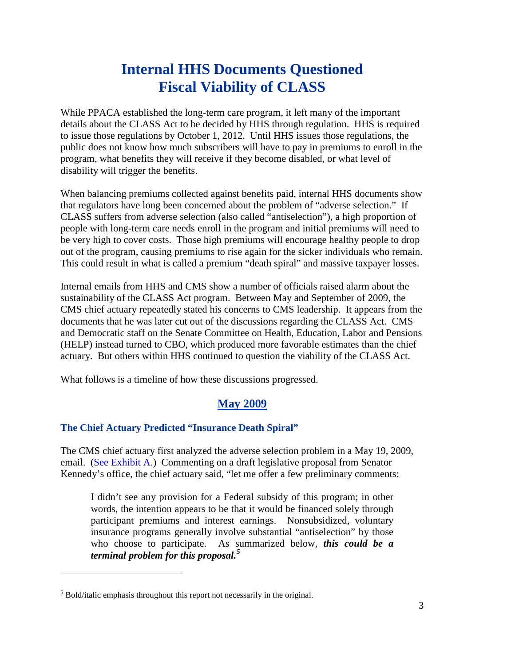# **Internal HHS Documents Questioned Fiscal Viability of CLASS**

While PPACA established the long-term care program, it left many of the important details about the CLASS Act to be decided by HHS through regulation. HHS is required to issue those regulations by October 1, 2012. Until HHS issues those regulations, the public does not know how much subscribers will have to pay in premiums to enroll in the program, what benefits they will receive if they become disabled, or what level of disability will trigger the benefits.

When balancing premiums collected against benefits paid, internal HHS documents show that regulators have long been concerned about the problem of "adverse selection." If CLASS suffers from adverse selection (also called "antiselection"), a high proportion of people with long-term care needs enroll in the program and initial premiums will need to be very high to cover costs. Those high premiums will encourage healthy people to drop out of the program, causing premiums to rise again for the sicker individuals who remain. This could result in what is called a premium "death spiral" and massive taxpayer losses.

Internal emails from HHS and CMS show a number of officials raised alarm about the sustainability of the CLASS Act program. Between May and September of 2009, the CMS chief actuary repeatedly stated his concerns to CMS leadership. It appears from the documents that he was later cut out of the discussions regarding the CLASS Act. CMS and Democratic staff on the Senate Committee on Health, Education, Labor and Pensions (HELP) instead turned to CBO, which produced more favorable estimates than the chief actuary. But others within HHS continued to question the viability of the CLASS Act.

What follows is a timeline of how these discussions progressed.

### **May 2009**

#### **The Chief Actuary Predicted "Insurance Death Spiral"**

The CMS chief actuary first analyzed the adverse selection problem in a May 19, 2009, email. (See [Exhibit A.](http://go.usa.gov/0fc)) Commenting on a draft legislative proposal from Senator Kennedy's office, the chief actuary said, "let me offer a few preliminary comments:

I didn't see any provision for a Federal subsidy of this program; in other words, the intention appears to be that it would be financed solely through participant premiums and interest earnings. Nonsubsidized, voluntary insurance programs generally involve substantial "antiselection" by those who choose to participate. As summarized below, *this could be a terminal problem for this proposal.[5](#page-4-0)*

<span id="page-4-0"></span><sup>5</sup> Bold/italic emphasis throughout this report not necessarily in the original.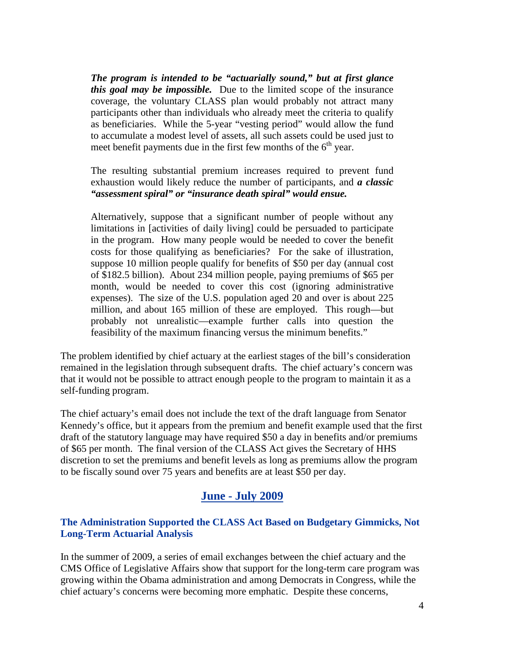*The program is intended to be "actuarially sound," but at first glance this goal may be impossible.* Due to the limited scope of the insurance coverage, the voluntary CLASS plan would probably not attract many participants other than individuals who already meet the criteria to qualify as beneficiaries. While the 5-year "vesting period" would allow the fund to accumulate a modest level of assets, all such assets could be used just to meet benefit payments due in the first few months of the  $6<sup>th</sup>$  year.

The resulting substantial premium increases required to prevent fund exhaustion would likely reduce the number of participants, and *a classic "assessment spiral" or "insurance death spiral" would ensue.*

Alternatively, suppose that a significant number of people without any limitations in [activities of daily living] could be persuaded to participate in the program. How many people would be needed to cover the benefit costs for those qualifying as beneficiaries? For the sake of illustration, suppose 10 million people qualify for benefits of \$50 per day (annual cost of \$182.5 billion). About 234 million people, paying premiums of \$65 per month, would be needed to cover this cost (ignoring administrative expenses). The size of the U.S. population aged 20 and over is about 225 million, and about 165 million of these are employed. This rough—but probably not unrealistic—example further calls into question the feasibility of the maximum financing versus the minimum benefits."

The problem identified by chief actuary at the earliest stages of the bill's consideration remained in the legislation through subsequent drafts. The chief actuary's concern was that it would not be possible to attract enough people to the program to maintain it as a self-funding program.

The chief actuary's email does not include the text of the draft language from Senator Kennedy's office, but it appears from the premium and benefit example used that the first draft of the statutory language may have required \$50 a day in benefits and/or premiums of \$65 per month. The final version of the CLASS Act gives the Secretary of HHS discretion to set the premiums and benefit levels as long as premiums allow the program to be fiscally sound over 75 years and benefits are at least \$50 per day.

#### **June - July 2009**

#### **The Administration Supported the CLASS Act Based on Budgetary Gimmicks, Not Long-Term Actuarial Analysis**

In the summer of 2009, a series of email exchanges between the chief actuary and the CMS Office of Legislative Affairs show that support for the long-term care program was growing within the Obama administration and among Democrats in Congress, while the chief actuary's concerns were becoming more emphatic. Despite these concerns,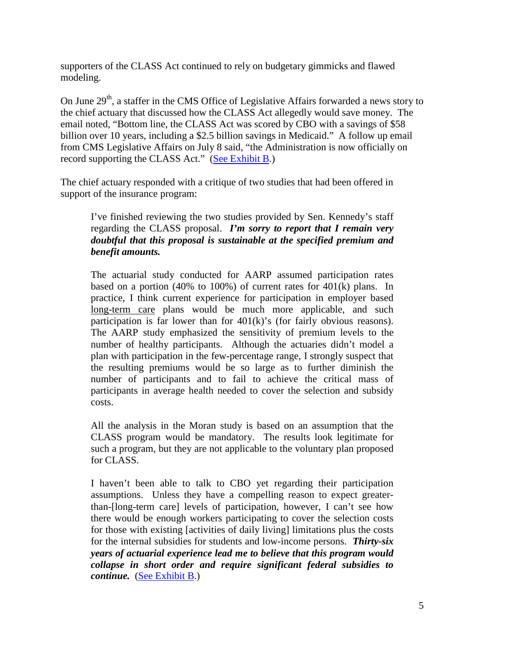supporters of the CLASS Act continued to rely on budgetary gimmicks and flawed modeling.

On June  $29<sup>th</sup>$ , a staffer in the CMS Office of Legislative Affairs forwarded a news story to the chief actuary that discussed how the CLASS Act allegedly would save money. The email noted, "Bottom line, the CLASS Act was scored by CBO with a savings of \$58 billion over 10 years, including a \$2.5 billion savings in Medicaid." A follow up email from CMS Legislative Affairs on July 8 said, "the Administration is now officially on record supporting the CLASS Act." [\(See Exhibit B.](http://go.usa.gov/0fr))

The chief actuary responded with a critique of two studies that had been offered in support of the insurance program:

I've finished reviewing the two studies provided by Sen. Kennedy's staff regarding the CLASS proposal. *I'm sorry to report that I remain very doubtful that this proposal is sustainable at the specified premium and benefit amounts.*

The actuarial study conducted for AARP assumed participation rates based on a portion (40% to 100%) of current rates for  $401(k)$  plans. In practice, I think current experience for participation in employer based long-term care plans would be much more applicable, and such participation is far lower than for 401(k)'s (for fairly obvious reasons). The AARP study emphasized the sensitivity of premium levels to the number of healthy participants. Although the actuaries didn't model a plan with participation in the few-percentage range, I strongly suspect that the resulting premiums would be so large as to further diminish the number of participants and to fail to achieve the critical mass of participants in average health needed to cover the selection and subsidy costs.

All the analysis in the Moran study is based on an assumption that the CLASS program would be mandatory. The results look legitimate for such a program, but they are not applicable to the voluntary plan proposed for CLASS.

I haven't been able to talk to CBO yet regarding their participation assumptions. Unless they have a compelling reason to expect greaterthan-[long-term care] levels of participation, however, I can't see how there would be enough workers participating to cover the selection costs for those with existing [activities of daily living] limitations plus the costs for the internal subsidies for students and low-income persons. *Thirty-six years of actuarial experience lead me to believe that this program would collapse in short order and require significant federal subsidies to continue.* [\(See Exhibit B.](http://go.usa.gov/0fr))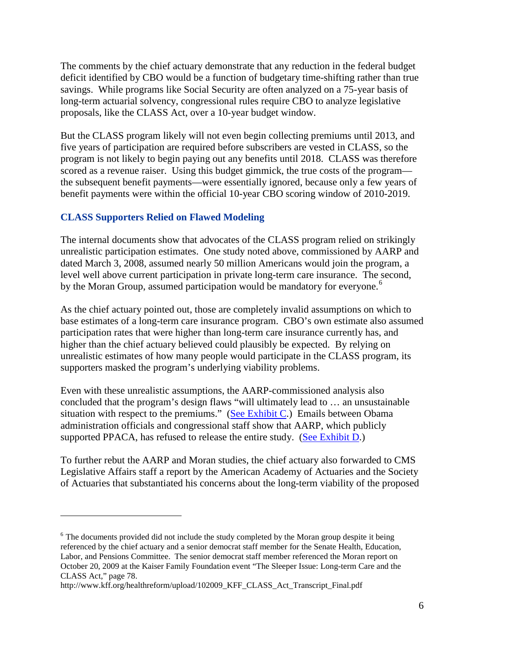The comments by the chief actuary demonstrate that any reduction in the federal budget deficit identified by CBO would be a function of budgetary time-shifting rather than true savings. While programs like Social Security are often analyzed on a 75-year basis of long-term actuarial solvency, congressional rules require CBO to analyze legislative proposals, like the CLASS Act, over a 10-year budget window.

But the CLASS program likely will not even begin collecting premiums until 2013, and five years of participation are required before subscribers are vested in CLASS, so the program is not likely to begin paying out any benefits until 2018. CLASS was therefore scored as a revenue raiser. Using this budget gimmick, the true costs of the program the subsequent benefit payments—were essentially ignored, because only a few years of benefit payments were within the official 10-year CBO scoring window of 2010-2019.

#### **CLASS Supporters Relied on Flawed Modeling**

 $\overline{a}$ 

The internal documents show that advocates of the CLASS program relied on strikingly unrealistic participation estimates. One study noted above, commissioned by AARP and dated March 3, 2008, assumed nearly 50 million Americans would join the program, a level well above current participation in private long-term care insurance. The second, by the Moran Group, assumed participation would be mandatory for everyone.<sup>[6](#page-7-0)</sup>

As the chief actuary pointed out, those are completely invalid assumptions on which to base estimates of a long-term care insurance program. CBO's own estimate also assumed participation rates that were higher than long-term care insurance currently has, and higher than the chief actuary believed could plausibly be expected. By relying on unrealistic estimates of how many people would participate in the CLASS program, its supporters masked the program's underlying viability problems.

Even with these unrealistic assumptions, the AARP-commissioned analysis also concluded that the program's design flaws "will ultimately lead to … an unsustainable situation with respect to the premiums." [\(See Exhibit C.](http://go.usa.gov/0fY)) Emails between Obama administration officials and congressional staff show that AARP, which publicly supported PPACA, has refused to release the entire study. [\(See Exhibit D.](http://go.usa.gov/0fg))

To further rebut the AARP and Moran studies, the chief actuary also forwarded to CMS Legislative Affairs staff a report by the American Academy of Actuaries and the Society of Actuaries that substantiated his concerns about the long-term viability of the proposed

<span id="page-7-0"></span> $6$  The documents provided did not include the study completed by the Moran group despite it being referenced by the chief actuary and a senior democrat staff member for the Senate Health, Education, Labor, and Pensions Committee. The senior democrat staff member referenced the Moran report on October 20, 2009 at the Kaiser Family Foundation event "The Sleeper Issue: Long-term Care and the CLASS Act," page 78.

[http://www.kff.org/healthreform/upload/102009\\_KFF\\_CLASS\\_Act\\_Transcript\\_Final.pdf](http://www.kff.org/healthreform/upload/102009_KFF_CLASS_Act_Transcript_Final.pdf)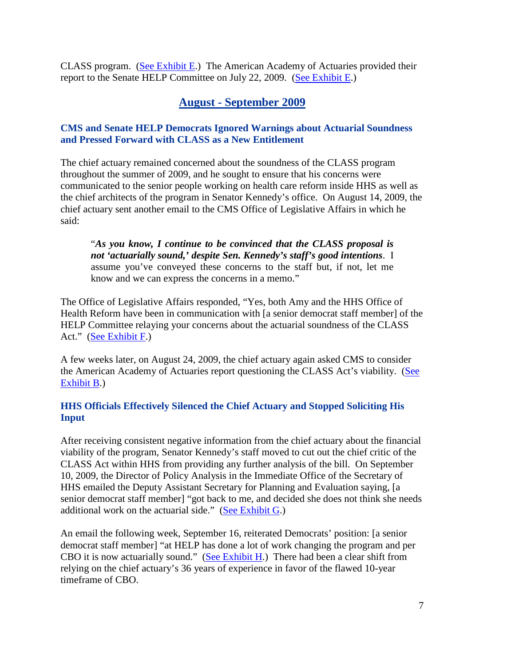CLASS program. [\(See Exhibit E.](http://go.usa.gov/0f4)) The American Academy of Actuaries provided their report to the Senate HELP Committee on July 22, 2009. [\(See Exhibit E.](http://go.usa.gov/0f4))

### **August - September 2009**

#### **CMS and Senate HELP Democrats Ignored Warnings about Actuarial Soundness and Pressed Forward with CLASS as a New Entitlement**

The chief actuary remained concerned about the soundness of the CLASS program throughout the summer of 2009, and he sought to ensure that his concerns were communicated to the senior people working on health care reform inside HHS as well as the chief architects of the program in Senator Kennedy's office. On August 14, 2009, the chief actuary sent another email to the CMS Office of Legislative Affairs in which he said:

"*As you know, I continue to be convinced that the CLASS proposal is not 'actuarially sound,' despite Sen. Kennedy's staff's good intentions*. I assume you've conveyed these concerns to the staff but, if not, let me know and we can express the concerns in a memo."

The Office of Legislative Affairs responded, "Yes, both Amy and the HHS Office of Health Reform have been in communication with [a senior democrat staff member] of the HELP Committee relaying your concerns about the actuarial soundness of the CLASS Act." [\(See Exhibit F.](http://go.usa.gov/0f2))

A few weeks later, on August 24, 2009, the chief actuary again asked CMS to consider the American Academy of Actuaries report questioning the CLASS Act's viability. [\(See](http://go.usa.gov/0fr)  [Exhibit B.](http://go.usa.gov/0fr))

#### **HHS Officials Effectively Silenced the Chief Actuary and Stopped Soliciting His Input**

After receiving consistent negative information from the chief actuary about the financial viability of the program, Senator Kennedy's staff moved to cut out the chief critic of the CLASS Act within HHS from providing any further analysis of the bill. On September 10, 2009, the Director of Policy Analysis in the Immediate Office of the Secretary of HHS emailed the Deputy Assistant Secretary for Planning and Evaluation saying, [a senior democrat staff member] "got back to me, and decided she does not think she needs additional work on the actuarial side." [\(See Exhibit G.](http://go.usa.gov/0fb))

An email the following week, September 16, reiterated Democrats' position: [a senior democrat staff member] "at HELP has done a lot of work changing the program and per CBO it is now actuarially sound." [\(See Exhibit H.](http://go.usa.gov/0f0)) There had been a clear shift from relying on the chief actuary's 36 years of experience in favor of the flawed 10-year timeframe of CBO.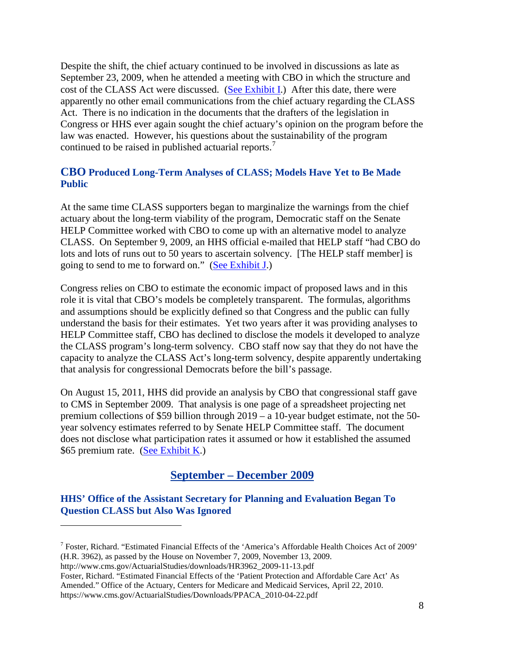Despite the shift, the chief actuary continued to be involved in discussions as late as September 23, 2009, when he attended a meeting with CBO in which the structure and cost of the CLASS Act were discussed. [\(See Exhibit I.](http://go.usa.gov/0f9)) After this date, there were apparently no other email communications from the chief actuary regarding the CLASS Act. There is no indication in the documents that the drafters of the legislation in Congress or HHS ever again sought the chief actuary's opinion on the program before the law was enacted. However, his questions about the sustainability of the program continued to be raised in published actuarial reports.<sup>[7](#page-9-0)</sup>

#### **CBO Produced Long-Term Analyses of CLASS; Models Have Yet to Be Made Public**

At the same time CLASS supporters began to marginalize the warnings from the chief actuary about the long-term viability of the program, Democratic staff on the Senate HELP Committee worked with CBO to come up with an alternative model to analyze CLASS. On September 9, 2009, an HHS official e-mailed that HELP staff "had CBO do lots and lots of runs out to 50 years to ascertain solvency. [The HELP staff member] is going to send to me to forward on." [\(See Exhibit J.](http://go.usa.gov/0fI))

Congress relies on CBO to estimate the economic impact of proposed laws and in this role it is vital that CBO's models be completely transparent. The formulas, algorithms and assumptions should be explicitly defined so that Congress and the public can fully understand the basis for their estimates. Yet two years after it was providing analyses to HELP Committee staff, CBO has declined to disclose the models it developed to analyze the CLASS program's long-term solvency. CBO staff now say that they do not have the capacity to analyze the CLASS Act's long-term solvency, despite apparently undertaking that analysis for congressional Democrats before the bill's passage.

On August 15, 2011, HHS did provide an analysis by CBO that congressional staff gave to CMS in September 2009. That analysis is one page of a spreadsheet projecting net premium collections of \$59 billion through 2019 – a 10-year budget estimate, not the 50 year solvency estimates referred to by Senate HELP Committee staff. The document does not disclose what participation rates it assumed or how it established the assumed \$65 premium rate. [\(See Exhibit K.](http://go.usa.gov/0f5))

### **September – December 2009**

#### **HHS' Office of the Assistant Secretary for Planning and Evaluation Began To Question CLASS but Also Was Ignored**

[http://www.cms.gov/ActuarialStudies/downloads/HR3962\\_2009-11-13.pdf](http://www.cms.gov/ActuarialStudies/downloads/HR3962_2009-11-13.pdf)

 $\overline{a}$ 

Foster, Richard. "Estimated Financial Effects of the 'Patient Protection and Affordable Care Act' As Amended." Office of the Actuary, Centers for Medicare and Medicaid Services, April 22, 2010. https://www.cms.gov/ActuarialStudies/Downloads/PPACA\_2010-04-22.pdf

<span id="page-9-0"></span><sup>7</sup> Foster, Richard. "Estimated Financial Effects of the 'America's Affordable Health Choices Act of 2009' (H.R. 3962), as passed by the House on November 7, 2009, November 13, 2009.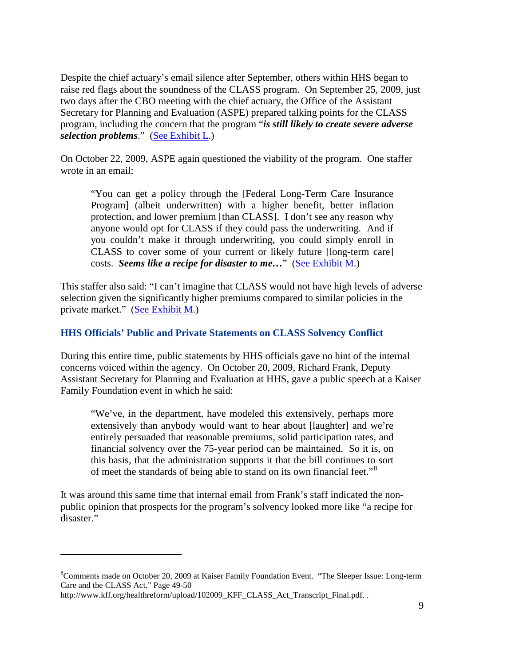Despite the chief actuary's email silence after September, others within HHS began to raise red flags about the soundness of the CLASS program. On September 25, 2009, just two days after the CBO meeting with the chief actuary, the Office of the Assistant Secretary for Planning and Evaluation (ASPE) prepared talking points for the CLASS program, including the concern that the program "*is still likely to create severe adverse selection problems*." [\(See Exhibit L.](http://go.usa.gov/0fN))

On October 22, 2009, ASPE again questioned the viability of the program. One staffer wrote in an email:

"You can get a policy through the [Federal Long-Term Care Insurance Program] (albeit underwritten) with a higher benefit, better inflation protection, and lower premium [than CLASS]. I don't see any reason why anyone would opt for CLASS if they could pass the underwriting. And if you couldn't make it through underwriting, you could simply enroll in CLASS to cover some of your current or likely future [long-term care] costs. *Seems like a recipe for disaster to me…*" [\(See Exhibit M.](http://go.usa.gov/0fR))

This staffer also said: "I can't imagine that CLASS would not have high levels of adverse selection given the significantly higher premiums compared to similar policies in the private market." [\(See Exhibit M.](http://go.usa.gov/0fR))

#### **HHS Officials' Public and Private Statements on CLASS Solvency Conflict**

During this entire time, public statements by HHS officials gave no hint of the internal concerns voiced within the agency. On October 20, 2009, Richard Frank, Deputy Assistant Secretary for Planning and Evaluation at HHS, gave a public speech at a Kaiser Family Foundation event in which he said:

"We've, in the department, have modeled this extensively, perhaps more extensively than anybody would want to hear about [laughter] and we're entirely persuaded that reasonable premiums, solid participation rates, and financial solvency over the 75-year period can be maintained. So it is, on this basis, that the administration supports it that the bill continues to sort of meet the standards of being able to stand on its own financial feet."<sup>[8](#page-10-0)</sup>

It was around this same time that internal email from Frank's staff indicated the nonpublic opinion that prospects for the program's solvency looked more like "a recipe for disaster."

<span id="page-10-0"></span><sup>&</sup>lt;sup>8</sup>Comments made on October 20, 2009 at Kaiser Family Foundation Event. "The Sleeper Issue: Long-term Care and the CLASS Act." Page 49-50

[http://www.kff.org/healthreform/upload/102009\\_KFF\\_CLASS\\_Act\\_Transcript\\_Final.pdf. .](http://www.kff.org/healthreform/upload/102009_KFF_CLASS_Act_Transcript_Final.pdf.%20Page%2049-50)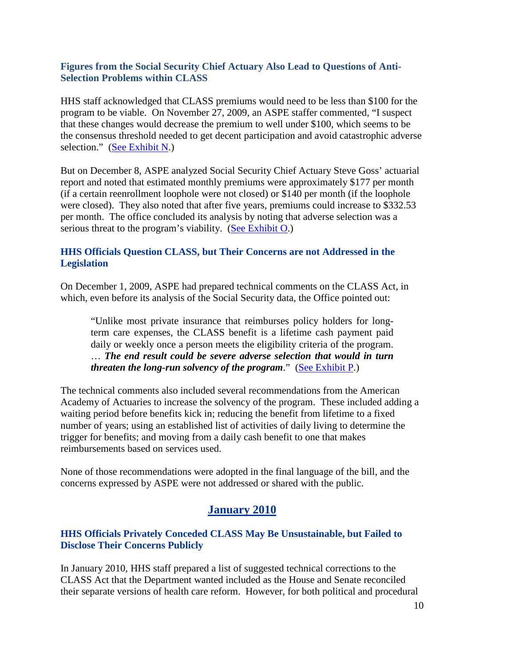#### **Figures from the Social Security Chief Actuary Also Lead to Questions of Anti-Selection Problems within CLASS**

HHS staff acknowledged that CLASS premiums would need to be less than \$100 for the program to be viable. On November 27, 2009, an ASPE staffer commented, "I suspect that these changes would decrease the premium to well under \$100, which seems to be the consensus threshold needed to get decent participation and avoid catastrophic adverse selection." [\(See Exhibit N.](http://go.usa.gov/0fn))

But on December 8, ASPE analyzed Social Security Chief Actuary Steve Goss' actuarial report and noted that estimated monthly premiums were approximately \$177 per month (if a certain reenrollment loophole were not closed) or \$140 per month (if the loophole were closed). They also noted that after five years, premiums could increase to \$332.53 per month. The office concluded its analysis by noting that adverse selection was a serious threat to the program's viability. [\(See Exhibit O.](http://go.usa.gov/0fU))

#### **HHS Officials Question CLASS, but Their Concerns are not Addressed in the Legislation**

On December 1, 2009, ASPE had prepared technical comments on the CLASS Act, in which, even before its analysis of the Social Security data, the Office pointed out:

"Unlike most private insurance that reimburses policy holders for longterm care expenses, the CLASS benefit is a lifetime cash payment paid daily or weekly once a person meets the eligibility criteria of the program. … *The end result could be severe adverse selection that would in turn threaten the long-run solvency of the program*." [\(See Exhibit P.](http://go.usa.gov/0fP))

The technical comments also included several recommendations from the American Academy of Actuaries to increase the solvency of the program. These included adding a waiting period before benefits kick in; reducing the benefit from lifetime to a fixed number of years; using an established list of activities of daily living to determine the trigger for benefits; and moving from a daily cash benefit to one that makes reimbursements based on services used.

None of those recommendations were adopted in the final language of the bill, and the concerns expressed by ASPE were not addressed or shared with the public.

### **January 2010**

#### **HHS Officials Privately Conceded CLASS May Be Unsustainable, but Failed to Disclose Their Concerns Publicly**

In January 2010, HHS staff prepared a list of suggested technical corrections to the CLASS Act that the Department wanted included as the House and Senate reconciled their separate versions of health care reform. However, for both political and procedural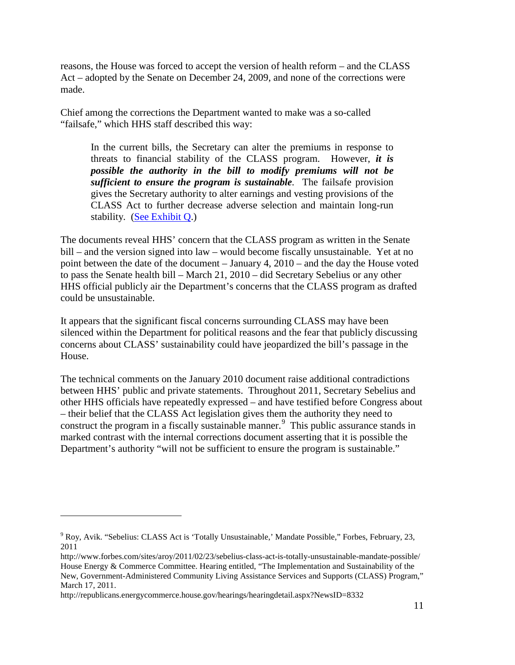reasons, the House was forced to accept the version of health reform – and the CLASS Act – adopted by the Senate on December 24, 2009, and none of the corrections were made.

Chief among the corrections the Department wanted to make was a so-called "failsafe," which HHS staff described this way:

In the current bills, the Secretary can alter the premiums in response to threats to financial stability of the CLASS program. However, *it is possible the authority in the bill to modify premiums will not be sufficient to ensure the program is sustainable*. The failsafe provision gives the Secretary authority to alter earnings and vesting provisions of the CLASS Act to further decrease adverse selection and maintain long-run stability. [\(See Exhibit Q.](http://go.usa.gov/0fE))

The documents reveal HHS' concern that the CLASS program as written in the Senate bill – and the version signed into law – would become fiscally unsustainable. Yet at no point between the date of the document – January 4, 2010 – and the day the House voted to pass the Senate health bill – March 21, 2010 – did Secretary Sebelius or any other HHS official publicly air the Department's concerns that the CLASS program as drafted could be unsustainable.

It appears that the significant fiscal concerns surrounding CLASS may have been silenced within the Department for political reasons and the fear that publicly discussing concerns about CLASS' sustainability could have jeopardized the bill's passage in the House.

The technical comments on the January 2010 document raise additional contradictions between HHS' public and private statements. Throughout 2011, Secretary Sebelius and other HHS officials have repeatedly expressed – and have testified before Congress about – their belief that the CLASS Act legislation gives them the authority they need to construct the program in a fiscally sustainable manner.<sup>[9](#page-12-0)</sup> This public assurance stands in marked contrast with the internal corrections document asserting that it is possible the Department's authority "will not be sufficient to ensure the program is sustainable."

<span id="page-12-0"></span><sup>9</sup> Roy, Avik. "Sebelius: CLASS Act is 'Totally Unsustainable,' Mandate Possible," Forbes, February, 23, 2011

<http://www.forbes.com/sites/aroy/2011/02/23/sebelius-class-act-is-totally-unsustainable-mandate-possible/> House Energy & Commerce Committee. Hearing entitled, "The Implementation and Sustainability of the New, Government-Administered Community Living Assistance Services and Supports (CLASS) Program," March 17, 2011.

http://republicans.energycommerce.house.gov/hearings/hearingdetail.aspx?NewsID=8332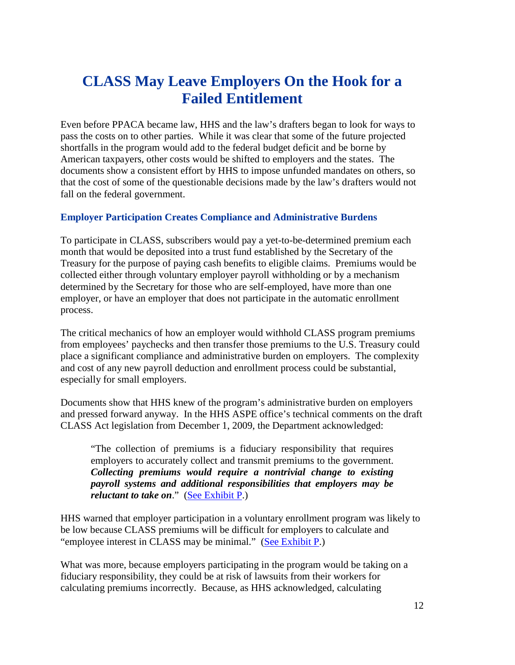# **CLASS May Leave Employers On the Hook for a Failed Entitlement**

Even before PPACA became law, HHS and the law's drafters began to look for ways to pass the costs on to other parties. While it was clear that some of the future projected shortfalls in the program would add to the federal budget deficit and be borne by American taxpayers, other costs would be shifted to employers and the states. The documents show a consistent effort by HHS to impose unfunded mandates on others, so that the cost of some of the questionable decisions made by the law's drafters would not fall on the federal government.

#### **Employer Participation Creates Compliance and Administrative Burdens**

To participate in CLASS, subscribers would pay a yet-to-be-determined premium each month that would be deposited into a trust fund established by the Secretary of the Treasury for the purpose of paying cash benefits to eligible claims. Premiums would be collected either through voluntary employer payroll withholding or by a mechanism determined by the Secretary for those who are self-employed, have more than one employer, or have an employer that does not participate in the automatic enrollment process.

The critical mechanics of how an employer would withhold CLASS program premiums from employees' paychecks and then transfer those premiums to the U.S. Treasury could place a significant compliance and administrative burden on employers. The complexity and cost of any new payroll deduction and enrollment process could be substantial, especially for small employers.

Documents show that HHS knew of the program's administrative burden on employers and pressed forward anyway. In the HHS ASPE office's technical comments on the draft CLASS Act legislation from December 1, 2009, the Department acknowledged:

"The collection of premiums is a fiduciary responsibility that requires employers to accurately collect and transmit premiums to the government. *Collecting premiums would require a nontrivial change to existing payroll systems and additional responsibilities that employers may be reluctant to take on*." [\(See Exhibit P.](http://go.usa.gov/0fP))

HHS warned that employer participation in a voluntary enrollment program was likely to be low because CLASS premiums will be difficult for employers to calculate and "employee interest in CLASS may be minimal." [\(See Exhibit P.](http://go.usa.gov/0fP))

What was more, because employers participating in the program would be taking on a fiduciary responsibility, they could be at risk of lawsuits from their workers for calculating premiums incorrectly. Because, as HHS acknowledged, calculating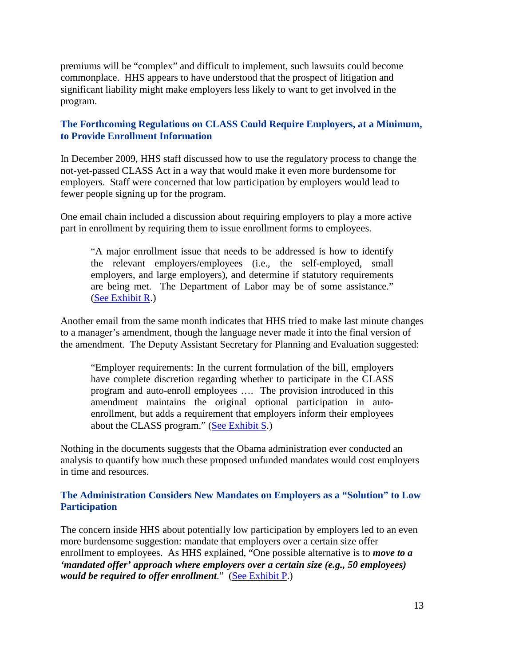premiums will be "complex" and difficult to implement, such lawsuits could become commonplace. HHS appears to have understood that the prospect of litigation and significant liability might make employers less likely to want to get involved in the program.

#### **The Forthcoming Regulations on CLASS Could Require Employers, at a Minimum, to Provide Enrollment Information**

In December 2009, HHS staff discussed how to use the regulatory process to change the not-yet-passed CLASS Act in a way that would make it even more burdensome for employers. Staff were concerned that low participation by employers would lead to fewer people signing up for the program.

One email chain included a discussion about requiring employers to play a more active part in enrollment by requiring them to issue enrollment forms to employees.

"A major enrollment issue that needs to be addressed is how to identify the relevant employers/employees (i.e., the self-employed, small employers, and large employers), and determine if statutory requirements are being met. The Department of Labor may be of some assistance." [\(See Exhibit R.](http://go.usa.gov/0fm))

Another email from the same month indicates that HHS tried to make last minute changes to a manager's amendment, though the language never made it into the final version of the amendment. The Deputy Assistant Secretary for Planning and Evaluation suggested:

"Employer requirements: In the current formulation of the bill, employers have complete discretion regarding whether to participate in the CLASS program and auto-enroll employees …. The provision introduced in this amendment maintains the original optional participation in autoenrollment, but adds a requirement that employers inform their employees about the CLASS program." [\(See Exhibit S.](http://go.usa.gov/0fy))

Nothing in the documents suggests that the Obama administration ever conducted an analysis to quantify how much these proposed unfunded mandates would cost employers in time and resources.

#### **The Administration Considers New Mandates on Employers as a "Solution" to Low Participation**

The concern inside HHS about potentially low participation by employers led to an even more burdensome suggestion: mandate that employers over a certain size offer enrollment to employees. As HHS explained, "One possible alternative is to *move to a 'mandated offer' approach where employers over a certain size (e.g., 50 employees) would be required to offer enrollment*." [\(See Exhibit P.](http://go.usa.gov/0fP))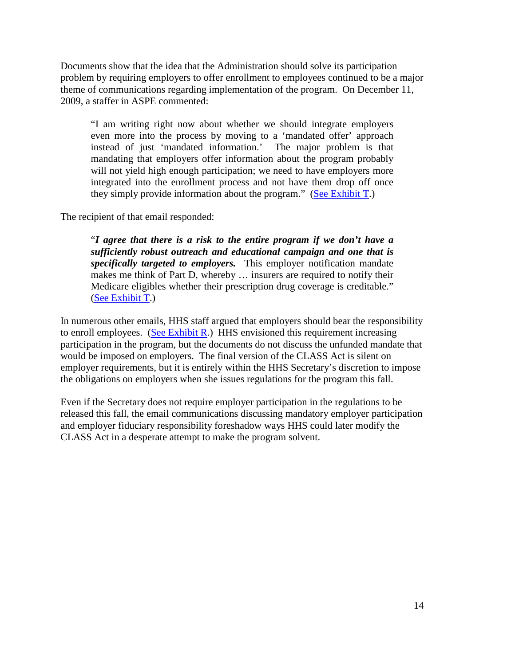Documents show that the idea that the Administration should solve its participation problem by requiring employers to offer enrollment to employees continued to be a major theme of communications regarding implementation of the program. On December 11, 2009, a staffer in ASPE commented:

"I am writing right now about whether we should integrate employers even more into the process by moving to a 'mandated offer' approach instead of just 'mandated information.' The major problem is that mandating that employers offer information about the program probably will not yield high enough participation; we need to have employers more integrated into the enrollment process and not have them drop off once they simply provide information about the program." [\(See Exhibit T.](http://go.usa.gov/0fV))

The recipient of that email responded:

"*I agree that there is a risk to the entire program if we don't have a sufficiently robust outreach and educational campaign and one that is specifically targeted to employers.* This employer notification mandate makes me think of Part D, whereby … insurers are required to notify their Medicare eligibles whether their prescription drug coverage is creditable." [\(See Exhibit T.](http://go.usa.gov/0fV))

In numerous other emails, HHS staff argued that employers should bear the responsibility to enroll employees. [\(See Exhibit R.](http://go.usa.gov/0fm)) HHS envisioned this requirement increasing participation in the program, but the documents do not discuss the unfunded mandate that would be imposed on employers. The final version of the CLASS Act is silent on employer requirements, but it is entirely within the HHS Secretary's discretion to impose the obligations on employers when she issues regulations for the program this fall.

Even if the Secretary does not require employer participation in the regulations to be released this fall, the email communications discussing mandatory employer participation and employer fiduciary responsibility foreshadow ways HHS could later modify the CLASS Act in a desperate attempt to make the program solvent.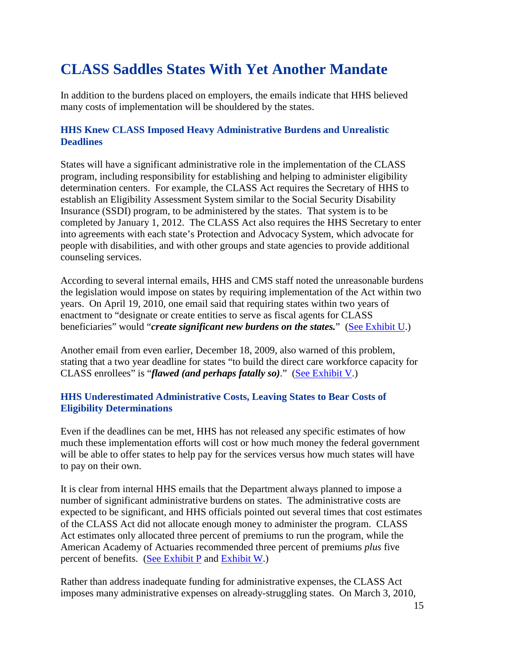# **CLASS Saddles States With Yet Another Mandate**

In addition to the burdens placed on employers, the emails indicate that HHS believed many costs of implementation will be shouldered by the states.

#### **HHS Knew CLASS Imposed Heavy Administrative Burdens and Unrealistic Deadlines**

States will have a significant administrative role in the implementation of the CLASS program, including responsibility for establishing and helping to administer eligibility determination centers. For example, the CLASS Act requires the Secretary of HHS to establish an Eligibility Assessment System similar to the Social Security Disability Insurance (SSDI) program, to be administered by the states. That system is to be completed by January 1, 2012. The CLASS Act also requires the HHS Secretary to enter into agreements with each state's Protection and Advocacy System, which advocate for people with disabilities, and with other groups and state agencies to provide additional counseling services.

According to several internal emails, HHS and CMS staff noted the unreasonable burdens the legislation would impose on states by requiring implementation of the Act within two years. On April 19, 2010, one email said that requiring states within two years of enactment to "designate or create entities to serve as fiscal agents for CLASS beneficiaries" would "*create significant new burdens on the states.*" [\(See Exhibit U.](http://go.usa.gov/0fp))

Another email from even earlier, December 18, 2009, also warned of this problem, stating that a two year deadline for states "to build the direct care workforce capacity for CLASS enrollees" is "*flawed (and perhaps fatally so)*." [\(See Exhibit V.](http://go.usa.gov/0fd))

#### **HHS Underestimated Administrative Costs, Leaving States to Bear Costs of Eligibility Determinations**

Even if the deadlines can be met, HHS has not released any specific estimates of how much these implementation efforts will cost or how much money the federal government will be able to offer states to help pay for the services versus how much states will have to pay on their own.

It is clear from internal HHS emails that the Department always planned to impose a number of significant administrative burdens on states. The administrative costs are expected to be significant, and HHS officials pointed out several times that cost estimates of the CLASS Act did not allocate enough money to administer the program. CLASS Act estimates only allocated three percent of premiums to run the program, while the American Academy of Actuaries recommended three percent of premiums *plus* five percent of benefits. [\(See Exhibit](http://go.usa.gov/0fP) P and [Exhibit W.](http://go.usa.gov/0fv))

Rather than address inadequate funding for administrative expenses, the CLASS Act imposes many administrative expenses on already-struggling states. On March 3, 2010,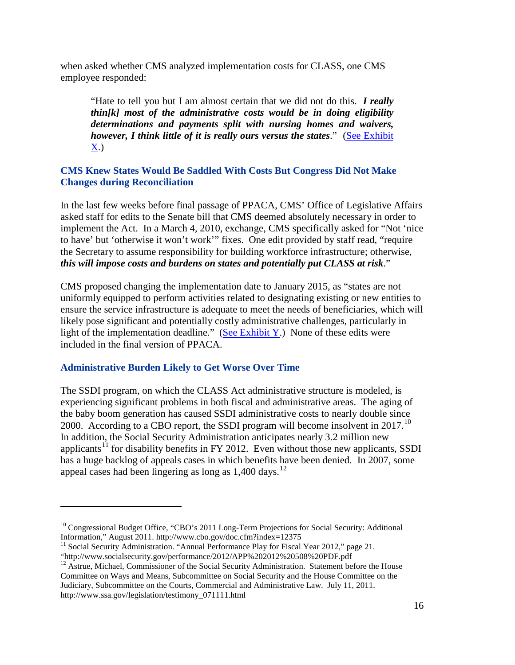when asked whether CMS analyzed implementation costs for CLASS, one CMS employee responded:

"Hate to tell you but I am almost certain that we did not do this. *I really thin[k] most of the administrative costs would be in doing eligibility determinations and payments split with nursing homes and waivers, however, I think little of it is really ours versus the states*." [\(See Exhibit](http://go.usa.gov/0fw)  [X.](http://go.usa.gov/0fw))

#### **CMS Knew States Would Be Saddled With Costs But Congress Did Not Make Changes during Reconciliation**

In the last few weeks before final passage of PPACA, CMS' Office of Legislative Affairs asked staff for edits to the Senate bill that CMS deemed absolutely necessary in order to implement the Act. In a March 4, 2010, exchange, CMS specifically asked for "Not 'nice to have' but 'otherwise it won't work'" fixes. One edit provided by staff read, "require the Secretary to assume responsibility for building workforce infrastructure; otherwise, *this will impose costs and burdens on states and potentially put CLASS at risk*."

CMS proposed changing the implementation date to January 2015, as "states are not uniformly equipped to perform activities related to designating existing or new entities to ensure the service infrastructure is adequate to meet the needs of beneficiaries, which will likely pose significant and potentially costly administrative challenges, particularly in light of the implementation deadline." [\(See Exhibit Y.](http://go.usa.gov/0ff)) None of these edits were included in the final version of PPACA.

#### **Administrative Burden Likely to Get Worse Over Time**

 $\overline{a}$ 

The SSDI program, on which the CLASS Act administrative structure is modeled, is experiencing significant problems in both fiscal and administrative areas. The aging of the baby boom generation has caused SSDI administrative costs to nearly double since 2000. According to a CBO report, the SSDI program will become insolvent in 2017.<sup>[10](#page-17-0)</sup> In addition, the Social Security Administration anticipates nearly 3.2 million new applicants<sup>[11](#page-17-1)</sup> for disability benefits in FY 2012. Even without those new applicants, SSDI has a huge backlog of appeals cases in which benefits have been denied. In 2007, some appeal cases had been lingering as long as 1,400 days.<sup>[12](#page-17-2)</sup>

<span id="page-17-0"></span><sup>&</sup>lt;sup>10</sup> Congressional Budget Office, "CBO's 2011 Long-Term Projections for Social Security: Additional Information," August 2011. http://www.cbo.gov/doc.cfm?index=12375

<span id="page-17-1"></span><sup>&</sup>lt;sup>11</sup> Social Security Administration. "Annual Performance Play for Fiscal Year 2012," page 21. "http://www.socialsecurity.gov/performance/2012/APP%202012%20508%20PDF.pdf

<span id="page-17-2"></span><sup>&</sup>lt;sup>12</sup> Astrue, Michael, Commissioner of the Social Security Administration. Statement before the House Committee on Ways and Means, Subcommittee on Social Security and the House Committee on the Judiciary, Subcommittee on the Courts, Commercial and Administrative Law. July 11, 2011. [http://www.ssa.gov/legislation/testimony\\_071111.html](http://www.ssa.gov/legislation/testimony_071111.html)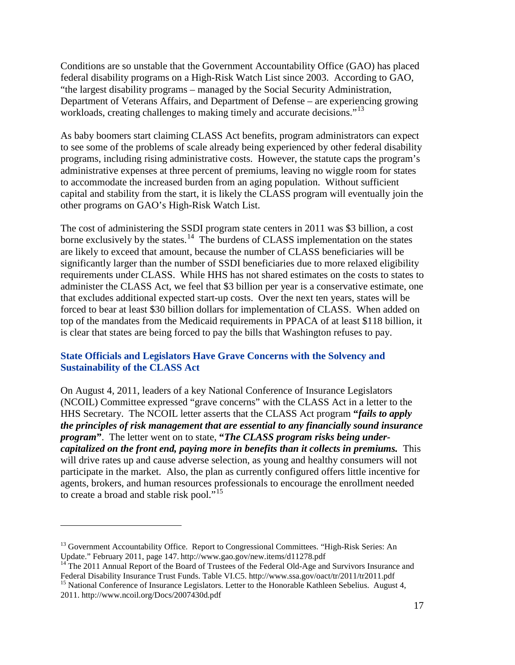Conditions are so unstable that the Government Accountability Office (GAO) has placed federal disability programs on a High-Risk Watch List since 2003. According to GAO, "the largest disability programs – managed by the Social Security Administration, Department of Veterans Affairs, and Department of Defense – are experiencing growing workloads, creating challenges to making timely and accurate decisions."<sup>[13](#page-18-0)</sup>

As baby boomers start claiming CLASS Act benefits, program administrators can expect to see some of the problems of scale already being experienced by other federal disability programs, including rising administrative costs. However, the statute caps the program's administrative expenses at three percent of premiums, leaving no wiggle room for states to accommodate the increased burden from an aging population. Without sufficient capital and stability from the start, it is likely the CLASS program will eventually join the other programs on GAO's High-Risk Watch List.

The cost of administering the SSDI program state centers in 2011 was \$3 billion, a cost borne exclusively by the states.<sup>[14](#page-18-1)</sup> The burdens of CLASS implementation on the states are likely to exceed that amount, because the number of CLASS beneficiaries will be significantly larger than the number of SSDI beneficiaries due to more relaxed eligibility requirements under CLASS. While HHS has not shared estimates on the costs to states to administer the CLASS Act, we feel that \$3 billion per year is a conservative estimate, one that excludes additional expected start-up costs. Over the next ten years, states will be forced to bear at least \$30 billion dollars for implementation of CLASS. When added on top of the mandates from the Medicaid requirements in PPACA of at least \$118 billion, it is clear that states are being forced to pay the bills that Washington refuses to pay.

#### **State Officials and Legislators Have Grave Concerns with the Solvency and Sustainability of the CLASS Act**

On August 4, 2011, leaders of a key National Conference of Insurance Legislators (NCOIL) Committee expressed "grave concerns" with the CLASS Act in a letter to the HHS Secretary. The NCOIL letter asserts that the CLASS Act program **"***fails to apply the principles of risk management that are essential to any financially sound insurance program***"**. The letter went on to state, **"***The CLASS program risks being undercapitalized on the front end, paying more in benefits than it collects in premiums.* This will drive rates up and cause adverse selection, as young and healthy consumers will not participate in the market. Also, the plan as currently configured offers little incentive for agents, brokers, and human resources professionals to encourage the enrollment needed to create a broad and stable risk pool."<sup>[15](#page-18-2)</sup>

<sup>&</sup>lt;sup>13</sup> Government Accountability Office. Report to Congressional Committees. "High-Risk Series: An

<span id="page-18-1"></span><span id="page-18-0"></span>Update." February 2011, page 147. <http://www.gao.gov/new.items/d11278.pdf><br><sup>14</sup> The 2011 Annual Report of the Board of Trustees of the Federal Old-Age and Survivors Insurance and<br>Federal Disability Insurance Trust Funds. Ta

<span id="page-18-2"></span><sup>&</sup>lt;sup>15</sup> National Conference of Insurance Legislators. Letter to the Honorable Kathleen Sebelius. August 4, 2011.<http://www.ncoil.org/Docs/2007430d.pdf>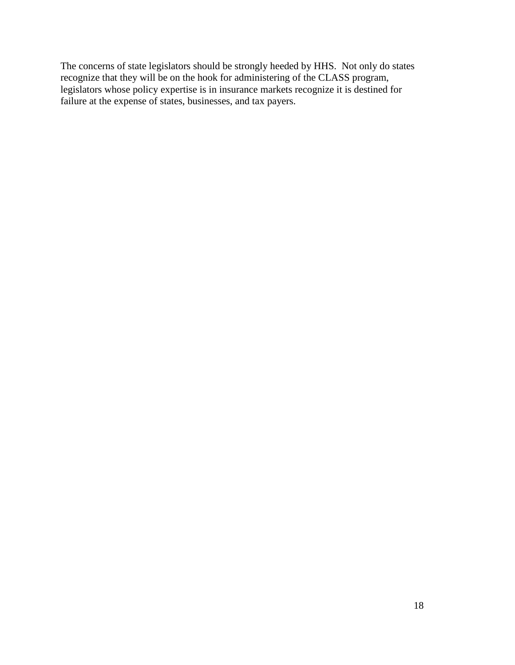The concerns of state legislators should be strongly heeded by HHS. Not only do states recognize that they will be on the hook for administering of the CLASS program, legislators whose policy expertise is in insurance markets recognize it is destined for failure at the expense of states, businesses, and tax payers.